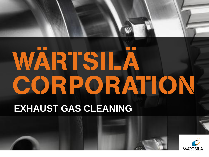# WÄRTSILÄ CORPORATION **EXHAUST GAS CLEANING**

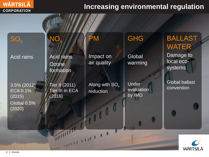# **Increasing environmental regulation**

WÄRTSILÄ

| SO,                                                        | NO                                          | <b>PM</b>                               | <b>GHG</b>                    | <b>BALLAST</b><br><b>WATER</b>      |
|------------------------------------------------------------|---------------------------------------------|-----------------------------------------|-------------------------------|-------------------------------------|
| Acid rains                                                 | <b>Acid rains</b><br>Ozone<br>formation     | Impact on<br>air quality                | Global<br>warming             | Damage to<br>local eco-<br>systems  |
| $3.5\%$ (2012)<br><b>ECA 0.1%</b><br>(2015)<br>Global 0.5% | Tier II (2011)<br>Tier III in ECA<br>(2016) | Along with SO <sub>x</sub><br>reduction | Under<br>evaluation<br>by IMO | <b>Global ballast</b><br>convention |
| (2020)                                                     |                                             |                                         |                               |                                     |
|                                                            |                                             |                                         |                               |                                     |

 $101$ 

一川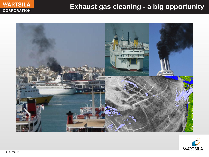

# Exhaust gas cleaning - a big opportunity



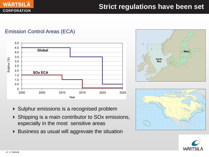

## **Strict regulations have been set**

### Emission Control Areas (ECA)









- ▶ Sulphur emissions is a recognised problem
- ▶ Shipping is a main contributor to SOx emissions, especially in the most sensitive areas
- ▶ Business as usual will aggrevate the situation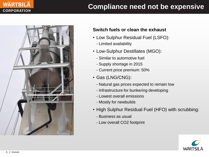# **Compliance need not be expensive**



#### **Switch fuels or clean the exhaust**

- Low Sulphur Residual Fuel (LSFO):
	- Limited availability
- Low-Sulphur Destillates (MGO):
	- Similar to automotive fuel
	- Supply shortage in 2015
	- Current price premium: 50%
- Gas (LNG/CNG):
	- Natural gas prices expected to remain low
	- Infrastructure for bunkering developing
	- Lowest overall emissions
	- Mostly for newbuilds
- High Sulphur Residual Fuel (HFO) with scrubbing:
	- Business as usual
	- Low overall CO2 footprint

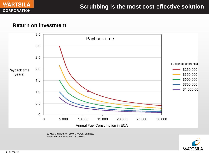

#### **Return on investment**



10 MW Main Engine, 3x0,5MW Aux. Engines, Total investment cost USD 3.000.000

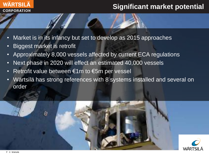# **Significant market potential**

- Market is in its infancy but set to develop as 2015 approaches
- Biggest market is retrofit
- Approximately 8,000 vessels affected by current ECA regulations
- Next phase in 2020 will effect an estimated 40,000 vessels
- Retrofit value between €1m to €5m per vessel
- Wärtsilä has strong references with 8 systems installed and several on order

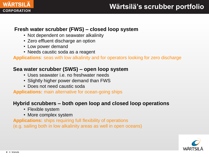

#### **Fresh water scrubber (FWS) – closed loop system**

- Not dependent on seawater alkalinity
- Zero effluent discharge an option
- Low power demand
- Needs caustic soda as a reagent

**Applications**: seas with low alkalinity and for operators looking for zero discharge

## **Sea water scrubber (SWS) – open loop system**

- Uses seawater i.e. no freshwater needs
- Slightly higher power demand than FWS
- Does not need caustic soda

**Applications:** main alternative for ocean-going ships

## **Hybrid scrubbers – both open loop and closed loop operations**

- Flexible system
- More complex system

**Applications:** ships requiring full flexibility of operations

(e.g. sailing both in low alkalinity areas as well in open oceans)

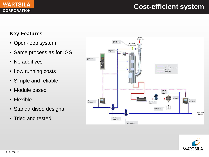

# **Cost-efficient system**

## **Key Features**

- Open-loop system
- Same process as for IGS
- No additives
- Low running costs
- Simple and reliable
- Module based
- Flexible
- Standardised designs
- Tried and tested



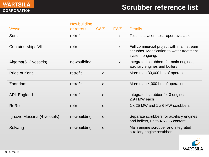|                             | <b>Newbuilding</b> |                           |              |                                                                                                          |
|-----------------------------|--------------------|---------------------------|--------------|----------------------------------------------------------------------------------------------------------|
| <b>Vessel</b>               | or retrofit        | <b>SWS</b>                | <b>FWS</b>   | <b>Details</b>                                                                                           |
| Suula                       | retrofit           |                           | $\mathsf{X}$ | Test installation, test report available                                                                 |
| <b>Containerships VII</b>   | retrofit           |                           | $\mathsf{X}$ | Full commercial project with main stream<br>scrubber. Modification to water treatment<br>system ongoing. |
| Algoma(6+2 vessels)         | newbuilding        |                           | $\mathsf{X}$ | Integrated scrubbers for main engines,<br>auxiliary engines and boilers                                  |
| Pride of Kent               | retrofit           | $\boldsymbol{\mathsf{X}}$ |              | More than 30,000 hrs of operation                                                                        |
| Zaandam                     | retrofit           | $\mathsf{X}$              |              | More than 4,000 hrs of operation                                                                         |
| <b>APL England</b>          | retrofit           | $\boldsymbol{X}$          |              | Integrated scrubber for 3 engines,<br>2.94 MW each                                                       |
| <b>RoRo</b>                 | retrofit           | $\mathsf{X}$              |              | 1 x 25 MW and 1 x 6 MW scrubbers                                                                         |
| Ignazio Messina (4 vessels) | newbuilding        | $\boldsymbol{\mathsf{X}}$ |              | Separate scrubbers for auxiliary engines<br>and boilers, up to 4.5% S-content                            |
| Solvang                     | newbuilding        | $\boldsymbol{\mathsf{X}}$ |              | Main engine scrubber and integrated<br>auxiliary engine scrubber                                         |

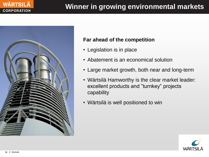

## **Far ahead of the competition**

- Legislation is in place
- Abatement is an economical solution
- Large market growth, both near and long-term
- Wärtsilä Hamworthy is the clear market leader: excellent products and "turnkey" projects capability
- Wärtsilä is well positioned to win